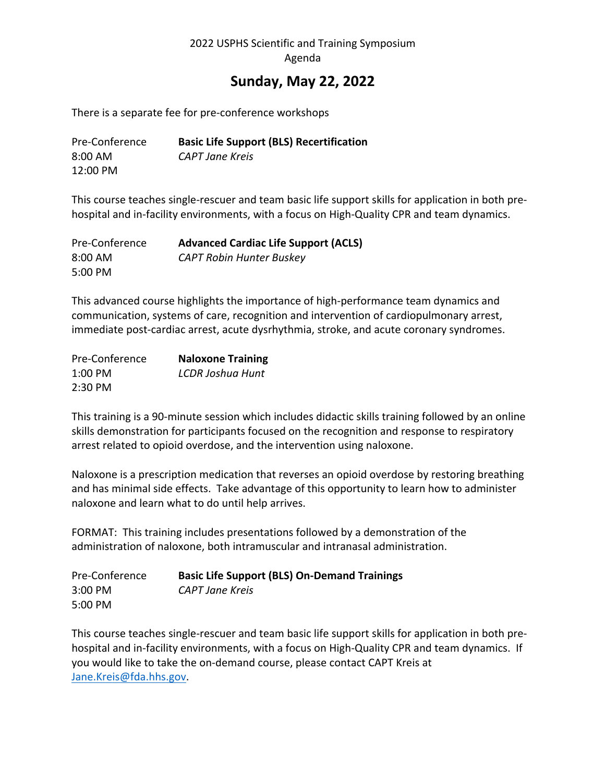## **Sunday, May 22, 2022**

There is a separate fee for pre-conference workshops

| Pre-Conference    | <b>Basic Life Support (BLS) Recertification</b> |
|-------------------|-------------------------------------------------|
| $8:00 \text{ AM}$ | CAPT Jane Kreis                                 |
| 12:00 PM          |                                                 |

This course teaches single-rescuer and team basic life support skills for application in both prehospital and in-facility environments, with a focus on High-Quality CPR and team dynamics.

| Pre-Conference | <b>Advanced Cardiac Life Support (ACLS)</b> |
|----------------|---------------------------------------------|
| 8:00 AM        | <b>CAPT Robin Hunter Buskey</b>             |
| 5:00 PM        |                                             |

This advanced course highlights the importance of high-performance team dynamics and communication, systems of care, recognition and intervention of cardiopulmonary arrest, immediate post-cardiac arrest, acute dysrhythmia, stroke, and acute coronary syndromes.

| Pre-Conference | <b>Naloxone Training</b> |
|----------------|--------------------------|
| $1:00$ PM      | <b>LCDR Joshua Hunt</b>  |
| $2:30$ PM      |                          |

This training is a 90-minute session which includes didactic skills training followed by an online skills demonstration for participants focused on the recognition and response to respiratory arrest related to opioid overdose, and the intervention using naloxone.

Naloxone is a prescription medication that reverses an opioid overdose by restoring breathing and has minimal side effects. Take advantage of this opportunity to learn how to administer naloxone and learn what to do until help arrives.

FORMAT: This training includes presentations followed by a demonstration of the administration of naloxone, both intramuscular and intranasal administration.

| Pre-Conference | <b>Basic Life Support (BLS) On-Demand Trainings</b> |
|----------------|-----------------------------------------------------|
| $3:00$ PM      | CAPT Jane Kreis                                     |
| 5:00 PM        |                                                     |

This course teaches single-rescuer and team basic life support skills for application in both prehospital and in-facility environments, with a focus on High-Quality CPR and team dynamics. If you would like to take the on-demand course, please contact CAPT Kreis at Jane.Kreis@fda.hhs.gov.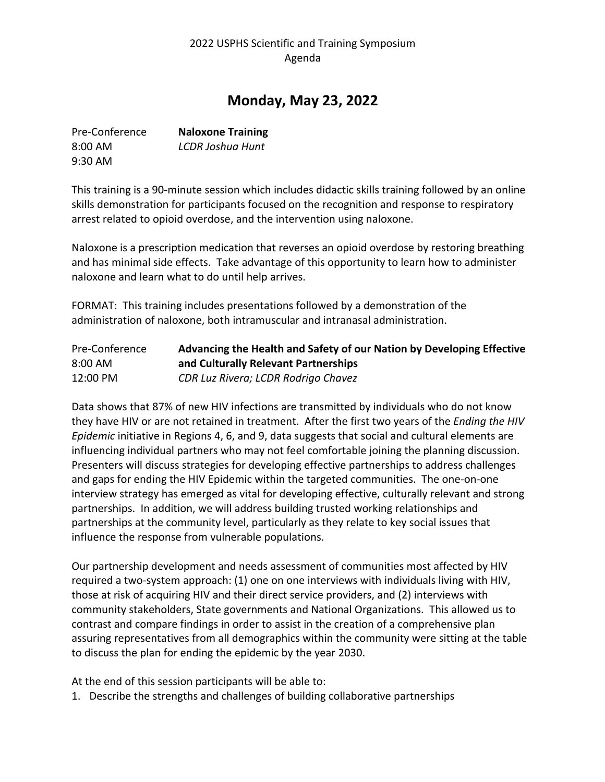# **Monday, May 23, 2022**

| Pre-Conference | <b>Naloxone Training</b> |
|----------------|--------------------------|
| $8:00$ AM      | LCDR Joshua Hunt         |
| $9:30$ AM      |                          |

This training is a 90-minute session which includes didactic skills training followed by an online skills demonstration for participants focused on the recognition and response to respiratory arrest related to opioid overdose, and the intervention using naloxone.

Naloxone is a prescription medication that reverses an opioid overdose by restoring breathing and has minimal side effects. Take advantage of this opportunity to learn how to administer naloxone and learn what to do until help arrives.

FORMAT: This training includes presentations followed by a demonstration of the administration of naloxone, both intramuscular and intranasal administration.

| Pre-Conference | Advancing the Health and Safety of our Nation by Developing Effective |
|----------------|-----------------------------------------------------------------------|
| 8:00 AM        | and Culturally Relevant Partnerships                                  |
| 12:00 PM       | CDR Luz Rivera; LCDR Rodrigo Chavez                                   |

Data shows that 87% of new HIV infections are transmitted by individuals who do not know they have HIV or are not retained in treatment. After the first two years of the *Ending the HIV Epidemic* initiative in Regions 4, 6, and 9, data suggests that social and cultural elements are influencing individual partners who may not feel comfortable joining the planning discussion. Presenters will discuss strategies for developing effective partnerships to address challenges and gaps for ending the HIV Epidemic within the targeted communities. The one-on-one interview strategy has emerged as vital for developing effective, culturally relevant and strong partnerships. In addition, we will address building trusted working relationships and partnerships at the community level, particularly as they relate to key social issues that influence the response from vulnerable populations.

Our partnership development and needs assessment of communities most affected by HIV required a two-system approach: (1) one on one interviews with individuals living with HIV, those at risk of acquiring HIV and their direct service providers, and (2) interviews with community stakeholders, State governments and National Organizations. This allowed us to contrast and compare findings in order to assist in the creation of a comprehensive plan assuring representatives from all demographics within the community were sitting at the table to discuss the plan for ending the epidemic by the year 2030.

At the end of this session participants will be able to:

1. Describe the strengths and challenges of building collaborative partnerships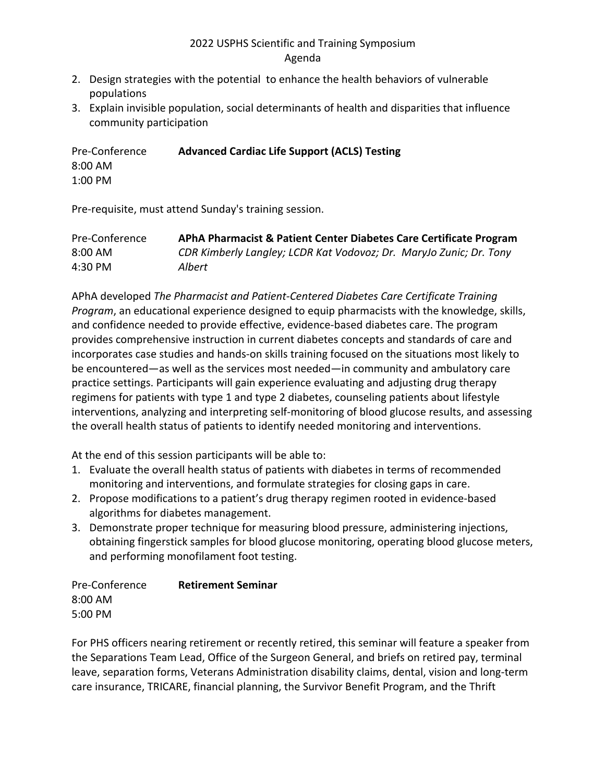- 2. Design strategies with the potential to enhance the health behaviors of vulnerable populations
- 3. Explain invisible population, social determinants of health and disparities that influence community participation

Pre-Conference **Advanced Cardiac Life Support (ACLS) Testing** 8:00 AM 1:00 PM

Pre-requisite, must attend Sunday's training session.

| Pre-Conference | APhA Pharmacist & Patient Center Diabetes Care Certificate Program |
|----------------|--------------------------------------------------------------------|
| 8:00 AM        | CDR Kimberly Langley; LCDR Kat Vodovoz; Dr. MaryJo Zunic; Dr. Tony |
| 4:30 PM        | Albert                                                             |

APhA developed *The Pharmacist and Patient-Centered Diabetes Care Certificate Training Program*, an educational experience designed to equip pharmacists with the knowledge, skills, and confidence needed to provide effective, evidence-based diabetes care. The program provides comprehensive instruction in current diabetes concepts and standards of care and incorporates case studies and hands-on skills training focused on the situations most likely to be encountered—as well as the services most needed—in community and ambulatory care practice settings. Participants will gain experience evaluating and adjusting drug therapy regimens for patients with type 1 and type 2 diabetes, counseling patients about lifestyle interventions, analyzing and interpreting self-monitoring of blood glucose results, and assessing the overall health status of patients to identify needed monitoring and interventions.

At the end of this session participants will be able to:

- 1. Evaluate the overall health status of patients with diabetes in terms of recommended monitoring and interventions, and formulate strategies for closing gaps in care.
- 2. Propose modifications to a patient's drug therapy regimen rooted in evidence-based algorithms for diabetes management.
- 3. Demonstrate proper technique for measuring blood pressure, administering injections, obtaining fingerstick samples for blood glucose monitoring, operating blood glucose meters, and performing monofilament foot testing.

| Pre-Conference | <b>Retirement Seminar</b> |
|----------------|---------------------------|
| $8:00$ AM      |                           |
| 5:00 PM        |                           |

For PHS officers nearing retirement or recently retired, this seminar will feature a speaker from the Separations Team Lead, Office of the Surgeon General, and briefs on retired pay, terminal leave, separation forms, Veterans Administration disability claims, dental, vision and long-term care insurance, TRICARE, financial planning, the Survivor Benefit Program, and the Thrift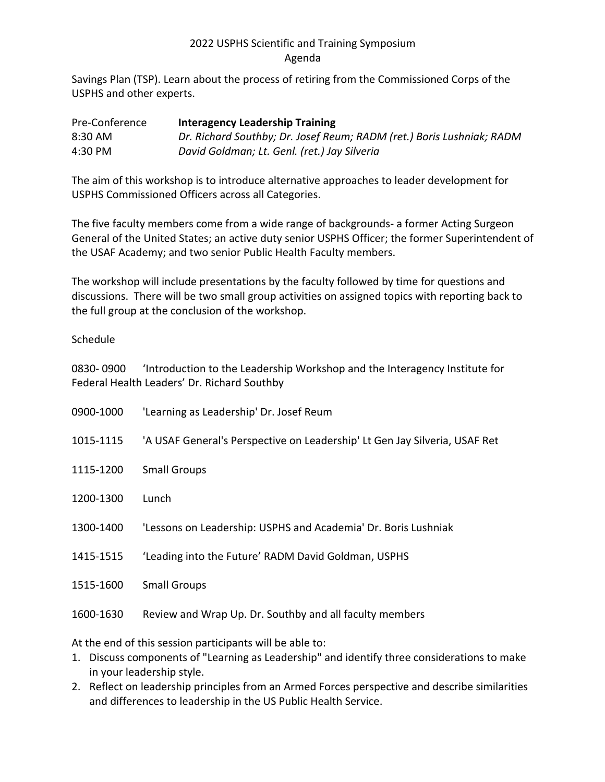Savings Plan (TSP). Learn about the process of retiring from the Commissioned Corps of the USPHS and other experts.

| Pre-Conference | <b>Interagency Leadership Training</b>                                |
|----------------|-----------------------------------------------------------------------|
| 8:30 AM        | Dr. Richard Southby; Dr. Josef Reum; RADM (ret.) Boris Lushniak; RADM |
| 4:30 PM        | David Goldman; Lt. Genl. (ret.) Jay Silveria                          |

The aim of this workshop is to introduce alternative approaches to leader development for USPHS Commissioned Officers across all Categories.

The five faculty members come from a wide range of backgrounds- a former Acting Surgeon General of the United States; an active duty senior USPHS Officer; the former Superintendent of the USAF Academy; and two senior Public Health Faculty members.

The workshop will include presentations by the faculty followed by time for questions and discussions. There will be two small group activities on assigned topics with reporting back to the full group at the conclusion of the workshop.

#### Schedule

0830- 0900 'Introduction to the Leadership Workshop and the Interagency Institute for Federal Health Leaders' Dr. Richard Southby

| 0900-1000 | 'Learning as Leadership' Dr. Josef Reum                                    |
|-----------|----------------------------------------------------------------------------|
| 1015-1115 | 'A USAF General's Perspective on Leadership' Lt Gen Jay Silveria, USAF Ret |
| 1115-1200 | <b>Small Groups</b>                                                        |
| 1200-1300 | Lunch                                                                      |
| 1300-1400 | 'Lessons on Leadership: USPHS and Academia' Dr. Boris Lushniak             |
| 1415-1515 | 'Leading into the Future' RADM David Goldman, USPHS                        |
| 1515-1600 | <b>Small Groups</b>                                                        |
| 1600-1630 | Review and Wrap Up. Dr. Southby and all faculty members                    |
|           |                                                                            |

At the end of this session participants will be able to:

- 1. Discuss components of "Learning as Leadership" and identify three considerations to make in your leadership style.
- 2. Reflect on leadership principles from an Armed Forces perspective and describe similarities and differences to leadership in the US Public Health Service.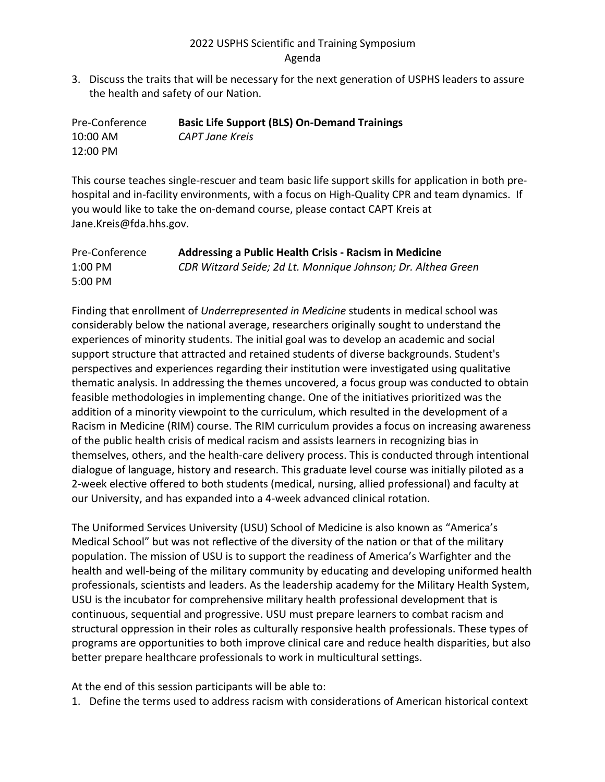3. Discuss the traits that will be necessary for the next generation of USPHS leaders to assure the health and safety of our Nation.

| Pre-Conference | <b>Basic Life Support (BLS) On-Demand Trainings</b> |
|----------------|-----------------------------------------------------|
| 10:00 AM       | CAPT Jane Kreis                                     |
| 12:00 PM       |                                                     |

This course teaches single-rescuer and team basic life support skills for application in both prehospital and in-facility environments, with a focus on High-Quality CPR and team dynamics. If you would like to take the on-demand course, please contact CAPT Kreis at Jane.Kreis@fda.hhs.gov.

| Pre-Conference | Addressing a Public Health Crisis - Racism in Medicine       |
|----------------|--------------------------------------------------------------|
| $1:00$ PM      | CDR Witzard Seide; 2d Lt. Monnique Johnson; Dr. Althea Green |
| 5:00 PM        |                                                              |

Finding that enrollment of *Underrepresented in Medicine* students in medical school was considerably below the national average, researchers originally sought to understand the experiences of minority students. The initial goal was to develop an academic and social support structure that attracted and retained students of diverse backgrounds. Student's perspectives and experiences regarding their institution were investigated using qualitative thematic analysis. In addressing the themes uncovered, a focus group was conducted to obtain feasible methodologies in implementing change. One of the initiatives prioritized was the addition of a minority viewpoint to the curriculum, which resulted in the development of a Racism in Medicine (RIM) course. The RIM curriculum provides a focus on increasing awareness of the public health crisis of medical racism and assists learners in recognizing bias in themselves, others, and the health-care delivery process. This is conducted through intentional dialogue of language, history and research. This graduate level course was initially piloted as a 2-week elective offered to both students (medical, nursing, allied professional) and faculty at our University, and has expanded into a 4-week advanced clinical rotation.

The Uniformed Services University (USU) School of Medicine is also known as "America's Medical School" but was not reflective of the diversity of the nation or that of the military population. The mission of USU is to support the readiness of America's Warfighter and the health and well-being of the military community by educating and developing uniformed health professionals, scientists and leaders. As the leadership academy for the Military Health System, USU is the incubator for comprehensive military health professional development that is continuous, sequential and progressive. USU must prepare learners to combat racism and structural oppression in their roles as culturally responsive health professionals. These types of programs are opportunities to both improve clinical care and reduce health disparities, but also better prepare healthcare professionals to work in multicultural settings.

At the end of this session participants will be able to:

1. Define the terms used to address racism with considerations of American historical context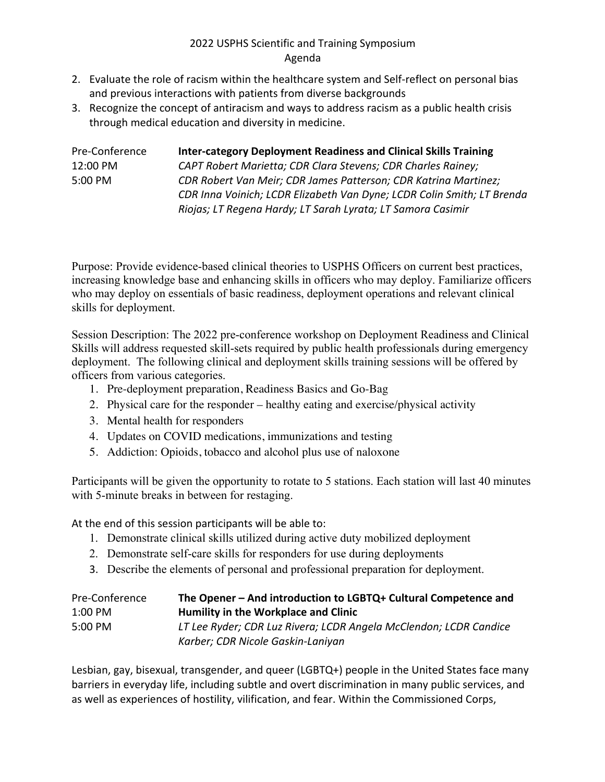- 2. Evaluate the role of racism within the healthcare system and Self-reflect on personal bias and previous interactions with patients from diverse backgrounds
- 3. Recognize the concept of antiracism and ways to address racism as a public health crisis through medical education and diversity in medicine.

| Pre-Conference | <b>Inter-category Deployment Readiness and Clinical Skills Training</b> |
|----------------|-------------------------------------------------------------------------|
| 12:00 PM       | CAPT Robert Marietta; CDR Clara Stevens; CDR Charles Rainey;            |
| 5:00 PM        | CDR Robert Van Meir; CDR James Patterson; CDR Katrina Martinez;         |
|                | CDR Inna Voinich; LCDR Elizabeth Van Dyne; LCDR Colin Smith; LT Brenda  |
|                | Riojas; LT Regena Hardy; LT Sarah Lyrata; LT Samora Casimir             |

Purpose: Provide evidence-based clinical theories to USPHS Officers on current best practices, increasing knowledge base and enhancing skills in officers who may deploy. Familiarize officers who may deploy on essentials of basic readiness, deployment operations and relevant clinical skills for deployment.

Session Description: The 2022 pre-conference workshop on Deployment Readiness and Clinical Skills will address requested skill-sets required by public health professionals during emergency deployment. The following clinical and deployment skills training sessions will be offered by officers from various categories.

- 1. Pre-deployment preparation, Readiness Basics and Go-Bag
- 2. Physical care for the responder healthy eating and exercise/physical activity
- 3. Mental health for responders
- 4. Updates on COVID medications, immunizations and testing
- 5. Addiction: Opioids, tobacco and alcohol plus use of naloxone

Participants will be given the opportunity to rotate to 5 stations. Each station will last 40 minutes with 5-minute breaks in between for restaging.

At the end of this session participants will be able to:

- 1. Demonstrate clinical skills utilized during active duty mobilized deployment
- 2. Demonstrate self-care skills for responders for use during deployments
- 3. Describe the elements of personal and professional preparation for deployment.

| Pre-Conference                                    | The Opener - And introduction to LGBTQ+ Cultural Competence and   |
|---------------------------------------------------|-------------------------------------------------------------------|
| Humility in the Workplace and Clinic<br>$1:00$ PM |                                                                   |
| $5:00 \text{ PM}$                                 | LT Lee Ryder; CDR Luz Rivera; LCDR Angela McClendon; LCDR Candice |
|                                                   | Karber; CDR Nicole Gaskin-Laniyan                                 |

Lesbian, gay, bisexual, transgender, and queer (LGBTQ+) people in the United States face many barriers in everyday life, including subtle and overt discrimination in many public services, and as well as experiences of hostility, vilification, and fear. Within the Commissioned Corps,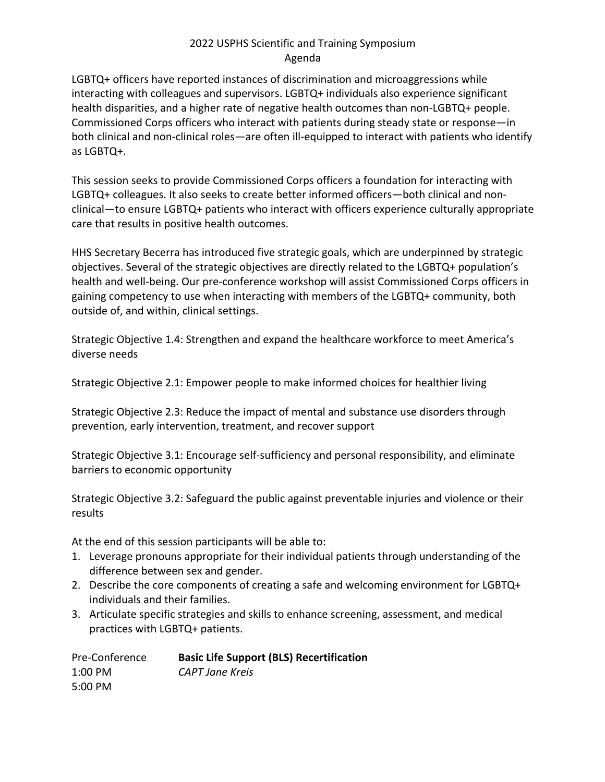LGBTQ+ officers have reported instances of discrimination and microaggressions while interacting with colleagues and supervisors. LGBTQ+ individuals also experience significant health disparities, and a higher rate of negative health outcomes than non-LGBTQ+ people. Commissioned Corps officers who interact with patients during steady state or response—in both clinical and non-clinical roles—are often ill-equipped to interact with patients who identify as LGBTQ+.

This session seeks to provide Commissioned Corps officers a foundation for interacting with LGBTQ+ colleagues. It also seeks to create better informed officers—both clinical and nonclinical—to ensure LGBTQ+ patients who interact with officers experience culturally appropriate care that results in positive health outcomes.

HHS Secretary Becerra has introduced five strategic goals, which are underpinned by strategic objectives. Several of the strategic objectives are directly related to the LGBTQ+ population's health and well-being. Our pre-conference workshop will assist Commissioned Corps officers in gaining competency to use when interacting with members of the LGBTQ+ community, both outside of, and within, clinical settings.

Strategic Objective 1.4: Strengthen and expand the healthcare workforce to meet America's diverse needs

Strategic Objective 2.1: Empower people to make informed choices for healthier living

Strategic Objective 2.3: Reduce the impact of mental and substance use disorders through prevention, early intervention, treatment, and recover support

Strategic Objective 3.1: Encourage self-sufficiency and personal responsibility, and eliminate barriers to economic opportunity

Strategic Objective 3.2: Safeguard the public against preventable injuries and violence or their results

At the end of this session participants will be able to:

- 1. Leverage pronouns appropriate for their individual patients through understanding of the difference between sex and gender.
- 2. Describe the core components of creating a safe and welcoming environment for LGBTQ+ individuals and their families.
- 3. Articulate specific strategies and skills to enhance screening, assessment, and medical practices with LGBTQ+ patients.

| Pre-Conference    | <b>Basic Life Support (BLS) Recertification</b> |
|-------------------|-------------------------------------------------|
| $1:00$ PM         | CAPT Jane Kreis                                 |
| $5:00 \text{ PM}$ |                                                 |